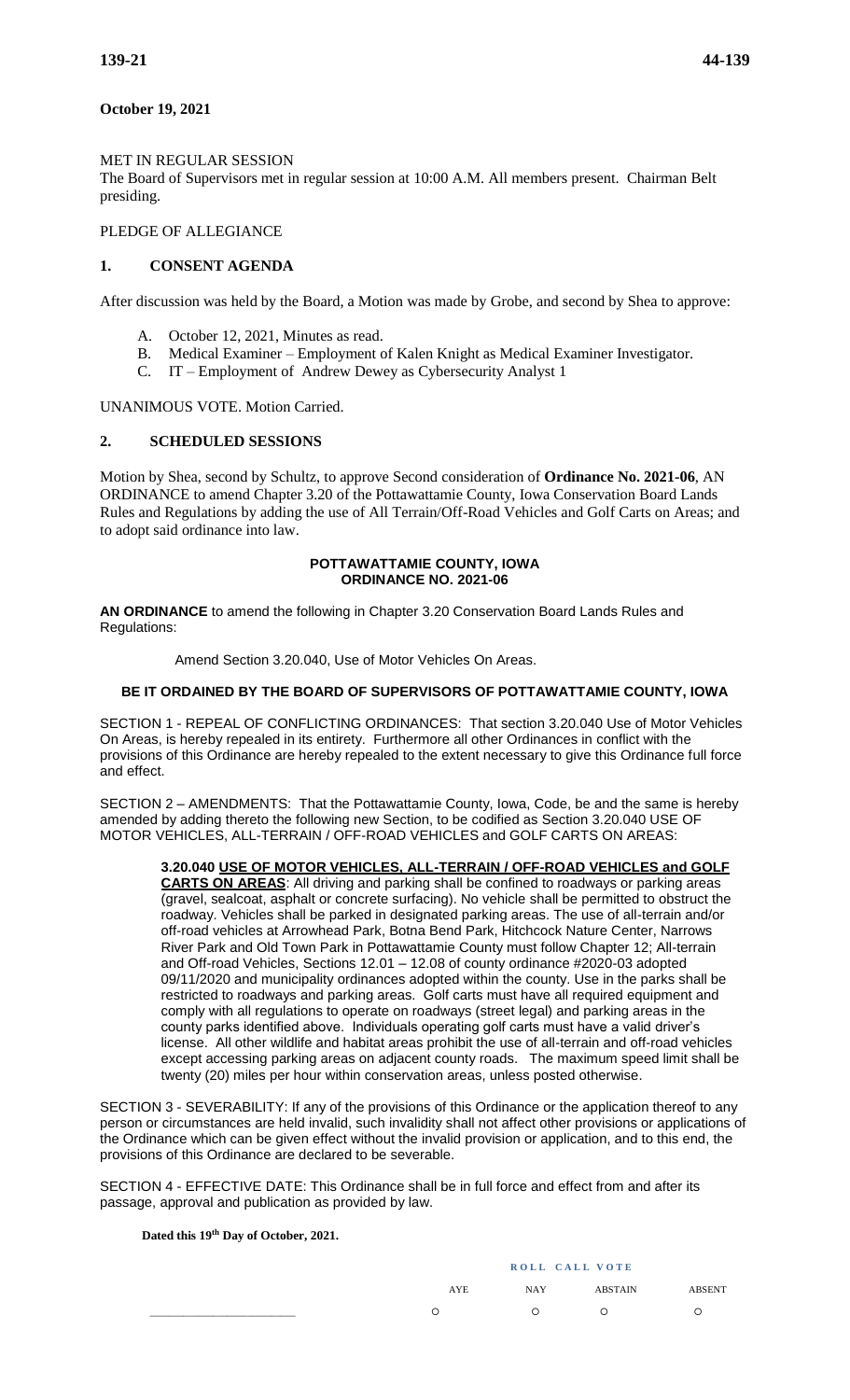# **October 19, 2021**

# MET IN REGULAR SESSION

The Board of Supervisors met in regular session at 10:00 A.M. All members present. Chairman Belt presiding.

### PLEDGE OF ALLEGIANCE

# **1. CONSENT AGENDA**

After discussion was held by the Board, a Motion was made by Grobe, and second by Shea to approve:

- A. October 12, 2021, Minutes as read.
- B. Medical Examiner Employment of Kalen Knight as Medical Examiner Investigator.
- C. IT Employment of Andrew Dewey as Cybersecurity Analyst 1

UNANIMOUS VOTE. Motion Carried.

### **2. SCHEDULED SESSIONS**

Motion by Shea, second by Schultz, to approve Second consideration of **Ordinance No. 2021-06**, AN ORDINANCE to amend Chapter 3.20 of the Pottawattamie County, Iowa Conservation Board Lands Rules and Regulations by adding the use of All Terrain/Off-Road Vehicles and Golf Carts on Areas; and to adopt said ordinance into law.

#### **POTTAWATTAMIE COUNTY, IOWA ORDINANCE NO. 2021-06**

**AN ORDINANCE** to amend the following in Chapter 3.20 Conservation Board Lands Rules and Regulations:

Amend Section 3.20.040, Use of Motor Vehicles On Areas.

### **BE IT ORDAINED BY THE BOARD OF SUPERVISORS OF POTTAWATTAMIE COUNTY, IOWA**

SECTION 1 - REPEAL OF CONFLICTING ORDINANCES: That section 3.20.040 Use of Motor Vehicles On Areas, is hereby repealed in its entirety. Furthermore all other Ordinances in conflict with the provisions of this Ordinance are hereby repealed to the extent necessary to give this Ordinance full force and effect.

SECTION 2 – AMENDMENTS: That the Pottawattamie County, Iowa, Code, be and the same is hereby amended by adding thereto the following new Section, to be codified as Section 3.20.040 USE OF MOTOR VEHICLES, ALL-TERRAIN / OFF-ROAD VEHICLES and GOLF CARTS ON AREAS:

#### **3.20.040 USE OF MOTOR VEHICLES, ALL-TERRAIN / OFF-ROAD VEHICLES and GOLF**

**CARTS ON AREAS**: All driving and parking shall be confined to roadways or parking areas (gravel, sealcoat, asphalt or concrete surfacing). No vehicle shall be permitted to obstruct the roadway. Vehicles shall be parked in designated parking areas. The use of all-terrain and/or off-road vehicles at Arrowhead Park, Botna Bend Park, Hitchcock Nature Center, Narrows River Park and Old Town Park in Pottawattamie County must follow Chapter 12; All-terrain and Off-road Vehicles, Sections 12.01 – 12.08 of county ordinance #2020-03 adopted 09/11/2020 and municipality ordinances adopted within the county. Use in the parks shall be restricted to roadways and parking areas. Golf carts must have all required equipment and comply with all regulations to operate on roadways (street legal) and parking areas in the county parks identified above. Individuals operating golf carts must have a valid driver's license. All other wildlife and habitat areas prohibit the use of all-terrain and off-road vehicles except accessing parking areas on adjacent county roads. The maximum speed limit shall be twenty (20) miles per hour within conservation areas, unless posted otherwise.

SECTION 3 - SEVERABILITY: If any of the provisions of this Ordinance or the application thereof to any person or circumstances are held invalid, such invalidity shall not affect other provisions or applications of the Ordinance which can be given effect without the invalid provision or application, and to this end, the provisions of this Ordinance are declared to be severable.

SECTION 4 - EFFECTIVE DATE: This Ordinance shall be in full force and effect from and after its passage, approval and publication as provided by law.

#### **Dated this 19th Day of October, 2021.**

| ROLL CALL VOTE |            |                |               |  |
|----------------|------------|----------------|---------------|--|
| AYE            | <b>NAY</b> | <b>ABSTAIN</b> | <b>ABSENT</b> |  |
| ◠              | ∩          | ◠              |               |  |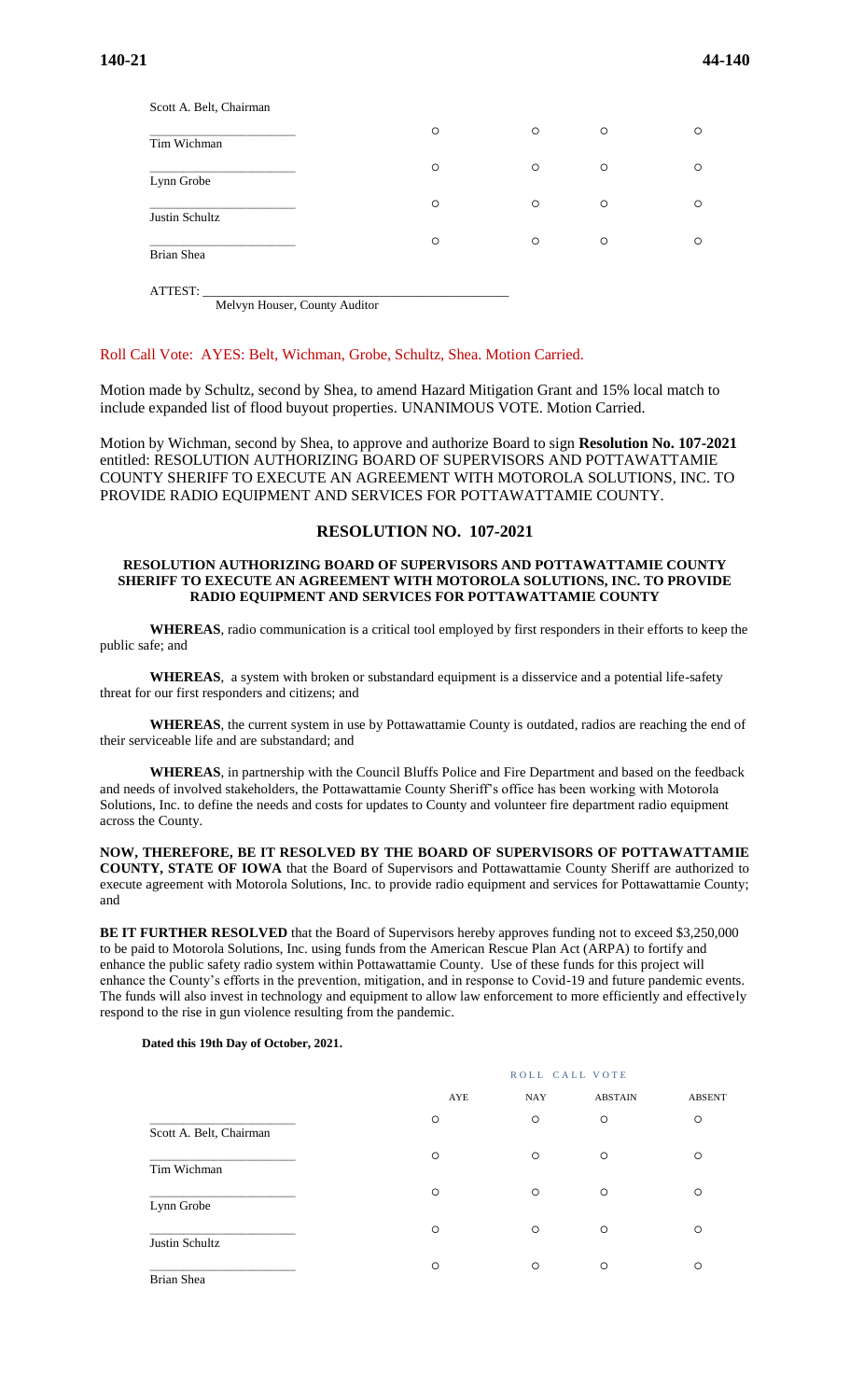| Scott A. Belt, Chairman |         |         |         |         |
|-------------------------|---------|---------|---------|---------|
| Tim Wichman             | $\circ$ | $\circ$ | $\circ$ | $\circ$ |
| Lynn Grobe              | $\circ$ | $\circ$ | $\circ$ | $\circ$ |
| Justin Schultz          | $\circ$ | $\circ$ | $\circ$ | $\circ$ |
| Brian Shea              | $\circ$ | $\circ$ | $\circ$ | $\circ$ |
|                         |         |         |         |         |

ATTEST: \_\_\_\_\_\_\_\_\_\_\_\_\_\_\_\_\_\_\_\_\_\_\_\_\_\_\_\_\_\_\_\_\_\_\_\_\_\_\_\_\_\_\_\_\_\_\_\_\_ Melvyn Houser, County Auditor

### Roll Call Vote: AYES: Belt, Wichman, Grobe, Schultz, Shea. Motion Carried.

Motion made by Schultz, second by Shea, to amend Hazard Mitigation Grant and 15% local match to include expanded list of flood buyout properties. UNANIMOUS VOTE. Motion Carried.

Motion by Wichman, second by Shea, to approve and authorize Board to sign **Resolution No. 107-2021** entitled: RESOLUTION AUTHORIZING BOARD OF SUPERVISORS AND POTTAWATTAMIE COUNTY SHERIFF TO EXECUTE AN AGREEMENT WITH MOTOROLA SOLUTIONS, INC. TO PROVIDE RADIO EQUIPMENT AND SERVICES FOR POTTAWATTAMIE COUNTY.

# **RESOLUTION NO. 107-2021**

#### **RESOLUTION AUTHORIZING BOARD OF SUPERVISORS AND POTTAWATTAMIE COUNTY SHERIFF TO EXECUTE AN AGREEMENT WITH MOTOROLA SOLUTIONS, INC. TO PROVIDE RADIO EQUIPMENT AND SERVICES FOR POTTAWATTAMIE COUNTY**

**WHEREAS**, radio communication is a critical tool employed by first responders in their efforts to keep the public safe; and

**WHEREAS**, a system with broken or substandard equipment is a disservice and a potential life-safety threat for our first responders and citizens; and

**WHEREAS**, the current system in use by Pottawattamie County is outdated, radios are reaching the end of their serviceable life and are substandard; and

**WHEREAS**, in partnership with the Council Bluffs Police and Fire Department and based on the feedback and needs of involved stakeholders, the Pottawattamie County Sheriff's office has been working with Motorola Solutions, Inc. to define the needs and costs for updates to County and volunteer fire department radio equipment across the County.

**NOW, THEREFORE, BE IT RESOLVED BY THE BOARD OF SUPERVISORS OF POTTAWATTAMIE COUNTY, STATE OF IOWA** that the Board of Supervisors and Pottawattamie County Sheriff are authorized to execute agreement with Motorola Solutions, Inc. to provide radio equipment and services for Pottawattamie County; and

**BE IT FURTHER RESOLVED** that the Board of Supervisors hereby approves funding not to exceed \$3,250,000 to be paid to Motorola Solutions, Inc. using funds from the American Rescue Plan Act (ARPA) to fortify and enhance the public safety radio system within Pottawattamie County. Use of these funds for this project will enhance the County's efforts in the prevention, mitigation, and in response to Covid-19 and future pandemic events. The funds will also invest in technology and equipment to allow law enforcement to more efficiently and effectively respond to the rise in gun violence resulting from the pandemic.

#### **Dated this 19th Day of October, 2021.**

|                         |         | ROLL CALL VOTE |                |               |  |
|-------------------------|---------|----------------|----------------|---------------|--|
|                         | AYE     | <b>NAY</b>     | <b>ABSTAIN</b> | <b>ABSENT</b> |  |
| Scott A. Belt, Chairman | $\circ$ | $\circ$        | $\circ$        | $\circ$       |  |
| Tim Wichman             | $\circ$ | $\circ$        | $\circ$        | $\circ$       |  |
| Lynn Grobe              | $\circ$ | $\circ$        | $\circ$        | $\circ$       |  |
| Justin Schultz          | $\circ$ | $\circ$        | $\circ$        | $\circ$       |  |
| Brian Shea              | $\circ$ | $\circ$        | $\circ$        | $\circ$       |  |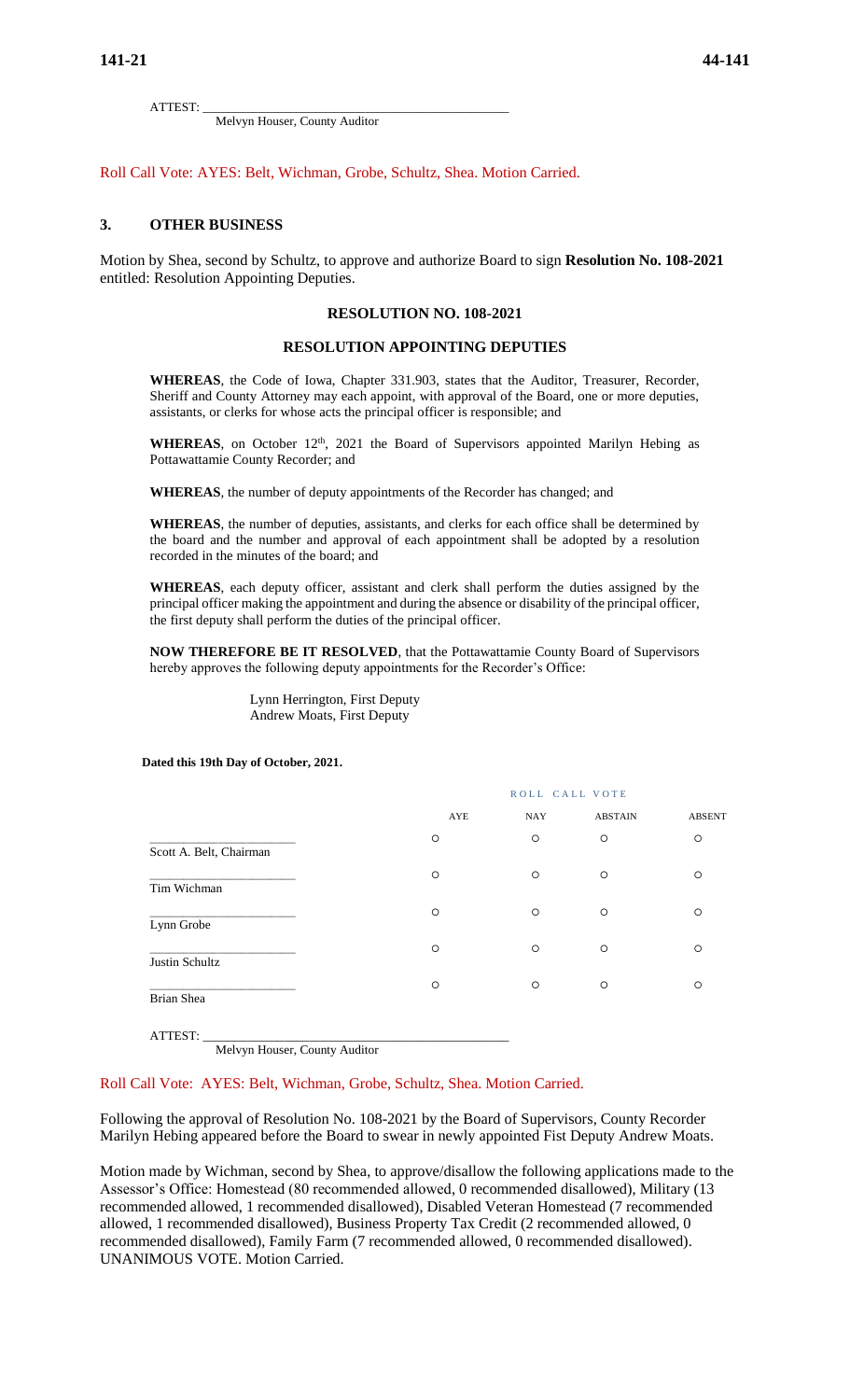ATTEST: \_\_\_\_\_\_\_\_\_\_\_\_\_\_\_\_\_\_\_\_\_\_\_\_\_\_\_\_\_\_\_\_\_\_\_\_\_\_\_\_\_\_\_\_\_\_\_\_\_

Melvyn Houser, County Auditor

Roll Call Vote: AYES: Belt, Wichman, Grobe, Schultz, Shea. Motion Carried.

### **3. OTHER BUSINESS**

Motion by Shea, second by Schultz, to approve and authorize Board to sign **Resolution No. 108-2021** entitled: Resolution Appointing Deputies.

# **RESOLUTION NO. 108-2021**

### **RESOLUTION APPOINTING DEPUTIES**

**WHEREAS**, the Code of Iowa, Chapter 331.903, states that the Auditor, Treasurer, Recorder, Sheriff and County Attorney may each appoint, with approval of the Board, one or more deputies, assistants, or clerks for whose acts the principal officer is responsible; and

**WHEREAS**, on October  $12<sup>th</sup>$ , 2021 the Board of Supervisors appointed Marilyn Hebing as Pottawattamie County Recorder; and

**WHEREAS**, the number of deputy appointments of the Recorder has changed; and

**WHEREAS**, the number of deputies, assistants, and clerks for each office shall be determined by the board and the number and approval of each appointment shall be adopted by a resolution recorded in the minutes of the board; and

**WHEREAS**, each deputy officer, assistant and clerk shall perform the duties assigned by the principal officer making the appointment and during the absence or disability of the principal officer, the first deputy shall perform the duties of the principal officer.

**NOW THEREFORE BE IT RESOLVED**, that the Pottawattamie County Board of Supervisors hereby approves the following deputy appointments for the Recorder's Office:

> Lynn Herrington, First Deputy Andrew Moats, First Deputy

**Dated this 19th Day of October, 2021.**

|                         | ROLL CALL VOTE |            |                |               |
|-------------------------|----------------|------------|----------------|---------------|
|                         | AYE            | <b>NAY</b> | <b>ABSTAIN</b> | <b>ABSENT</b> |
| Scott A. Belt, Chairman | O              | $\circ$    | $\circ$        | $\circ$       |
| Tim Wichman             | $\circ$        | O          | $\circ$        | $\circ$       |
| Lynn Grobe              | $\circ$        | $\circ$    | $\circ$        | $\circ$       |
| Justin Schultz          | $\circ$        | $\circ$    | $\circ$        | $\circ$       |
| Brian Shea              | $\circ$        | $\circ$    | $\circ$        | $\circ$       |
|                         |                |            |                |               |

ATTEST: \_\_\_\_\_\_\_\_\_\_\_\_\_\_\_\_\_\_\_\_\_\_\_\_\_\_\_\_\_\_\_\_\_\_\_\_\_\_\_\_\_\_\_\_\_\_\_\_\_ Melvyn Houser, County Auditor

#### Roll Call Vote: AYES: Belt, Wichman, Grobe, Schultz, Shea. Motion Carried.

Following the approval of Resolution No. 108-2021 by the Board of Supervisors, County Recorder Marilyn Hebing appeared before the Board to swear in newly appointed Fist Deputy Andrew Moats.

Motion made by Wichman, second by Shea, to approve/disallow the following applications made to the Assessor's Office: Homestead (80 recommended allowed, 0 recommended disallowed), Military (13 recommended allowed, 1 recommended disallowed), Disabled Veteran Homestead (7 recommended allowed, 1 recommended disallowed), Business Property Tax Credit (2 recommended allowed, 0 recommended disallowed), Family Farm (7 recommended allowed, 0 recommended disallowed). UNANIMOUS VOTE. Motion Carried.